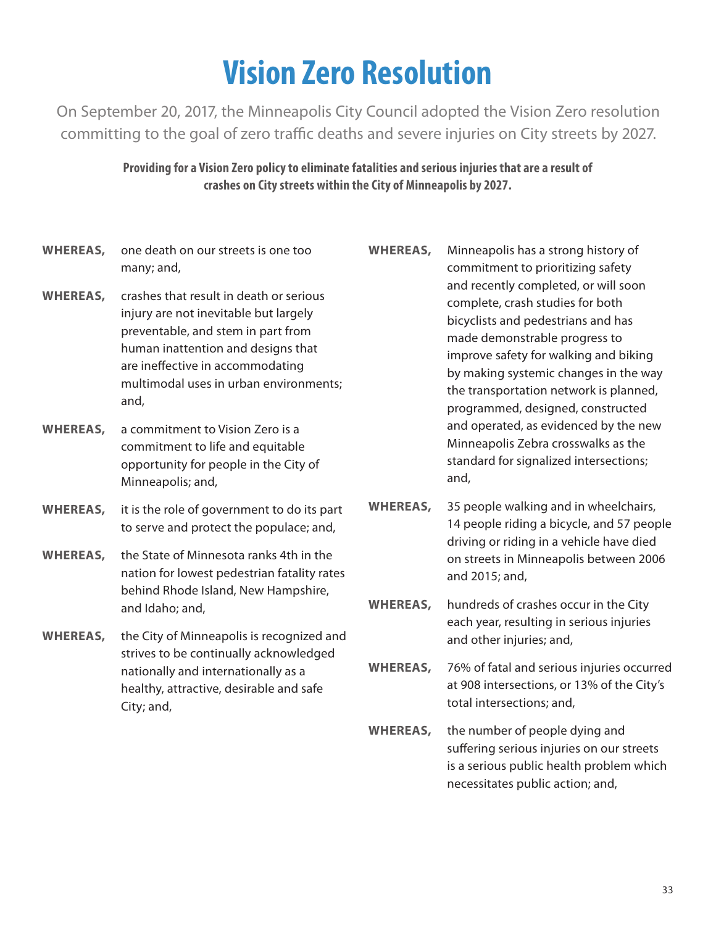## **Vision Zero Resolution**

On September 20, 2017, the Minneapolis City Council adopted the Vision Zero resolution committing to the goal of zero traffic deaths and severe injuries on City streets by 2027.

> **Providing for a Vision Zero policy to eliminate fatalities and serious injuries that are a result of crashes on City streets within the City of Minneapolis by 2027.**

- **WHEREAS,** one death on our streets is one too many; and,
- **WHEREAS,** crashes that result in death or serious injury are not inevitable but largely preventable, and stem in part from human inattention and designs that are ineffective in accommodating multimodal uses in urban environments; and,
- **WHEREAS,** a commitment to Vision Zero is a commitment to life and equitable opportunity for people in the City of Minneapolis; and,
- **WHEREAS,** it is the role of government to do its part to serve and protect the populace; and,
- **WHEREAS,** the State of Minnesota ranks 4th in the nation for lowest pedestrian fatality rates behind Rhode Island, New Hampshire, and Idaho; and,
- **WHEREAS,** the City of Minneapolis is recognized and strives to be continually acknowledged nationally and internationally as a healthy, attractive, desirable and safe City; and,
- **WHEREAS,** Minneapolis has a strong history of commitment to prioritizing safety and recently completed, or will soon complete, crash studies for both bicyclists and pedestrians and has made demonstrable progress to improve safety for walking and biking by making systemic changes in the way the transportation network is planned, programmed, designed, constructed and operated, as evidenced by the new Minneapolis Zebra crosswalks as the standard for signalized intersections; and,
- **WHEREAS,** 35 people walking and in wheelchairs, 14 people riding a bicycle, and 57 people driving or riding in a vehicle have died on streets in Minneapolis between 2006 and 2015; and,
- **WHEREAS,** hundreds of crashes occur in the City each year, resulting in serious injuries and other injuries; and,
- **WHEREAS,** 76% of fatal and serious injuries occurred at 908 intersections, or 13% of the City's total intersections; and,
- **WHEREAS,** the number of people dying and suffering serious injuries on our streets is a serious public health problem which necessitates public action; and,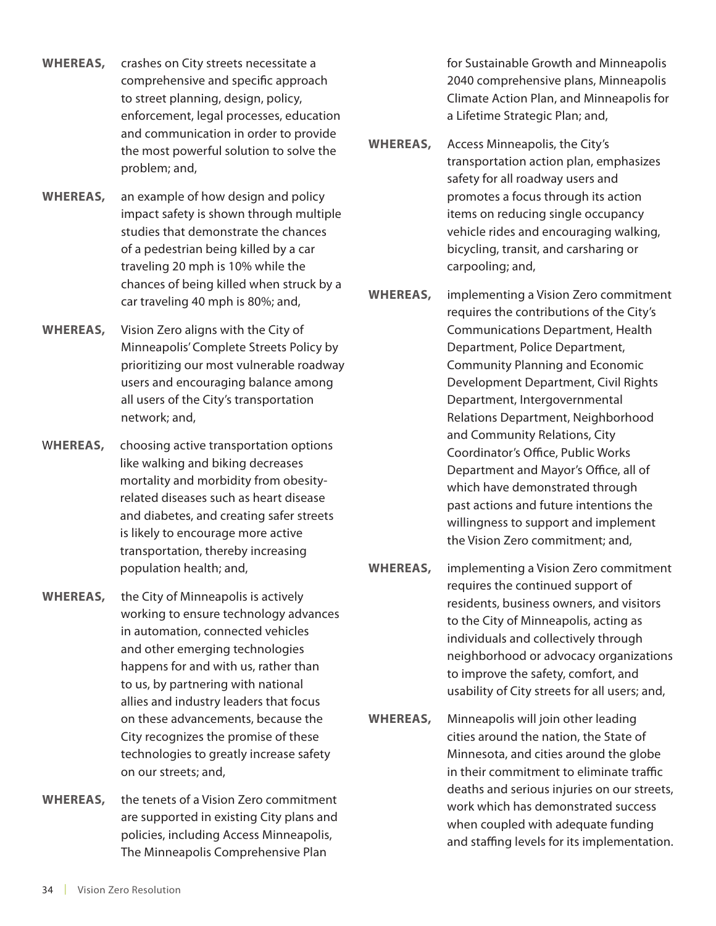- **WHEREAS,** crashes on City streets necessitate a comprehensive and specific approach to street planning, design, policy, enforcement, legal processes, education and communication in order to provide the most powerful solution to solve the problem; and,
- **WHEREAS,** an example of how design and policy impact safety is shown through multiple studies that demonstrate the chances of a pedestrian being killed by a car traveling 20 mph is 10% while the chances of being killed when struck by a car traveling 40 mph is 80%; and,
- **WHEREAS,** Vision Zero aligns with the City of Minneapolis' Complete Streets Policy by prioritizing our most vulnerable roadway users and encouraging balance among all users of the City's transportation network; and,
- W**HEREAS,** choosing active transportation options like walking and biking decreases mortality and morbidity from obesityrelated diseases such as heart disease and diabetes, and creating safer streets is likely to encourage more active transportation, thereby increasing population health; and,
- **WHEREAS,** the City of Minneapolis is actively working to ensure technology advances in automation, connected vehicles and other emerging technologies happens for and with us, rather than to us, by partnering with national allies and industry leaders that focus on these advancements, because the City recognizes the promise of these technologies to greatly increase safety on our streets; and,
- **WHEREAS,** the tenets of a Vision Zero commitment are supported in existing City plans and policies, including Access Minneapolis, The Minneapolis Comprehensive Plan

for Sustainable Growth and Minneapolis 2040 comprehensive plans, Minneapolis Climate Action Plan, and Minneapolis for a Lifetime Strategic Plan; and,

- **WHEREAS,** Access Minneapolis, the City's transportation action plan, emphasizes safety for all roadway users and promotes a focus through its action items on reducing single occupancy vehicle rides and encouraging walking, bicycling, transit, and carsharing or carpooling; and,
- **WHEREAS,** implementing a Vision Zero commitment requires the contributions of the City's Communications Department, Health Department, Police Department, Community Planning and Economic Development Department, Civil Rights Department, Intergovernmental Relations Department, Neighborhood and Community Relations, City Coordinator's Office, Public Works Department and Mayor's Office, all of which have demonstrated through past actions and future intentions the willingness to support and implement the Vision Zero commitment; and,
- **WHEREAS,** implementing a Vision Zero commitment requires the continued support of residents, business owners, and visitors to the City of Minneapolis, acting as individuals and collectively through neighborhood or advocacy organizations to improve the safety, comfort, and usability of City streets for all users; and,
- **WHEREAS,** Minneapolis will join other leading cities around the nation, the State of Minnesota, and cities around the globe in their commitment to eliminate traffic deaths and serious injuries on our streets, work which has demonstrated success when coupled with adequate funding and staffing levels for its implementation.